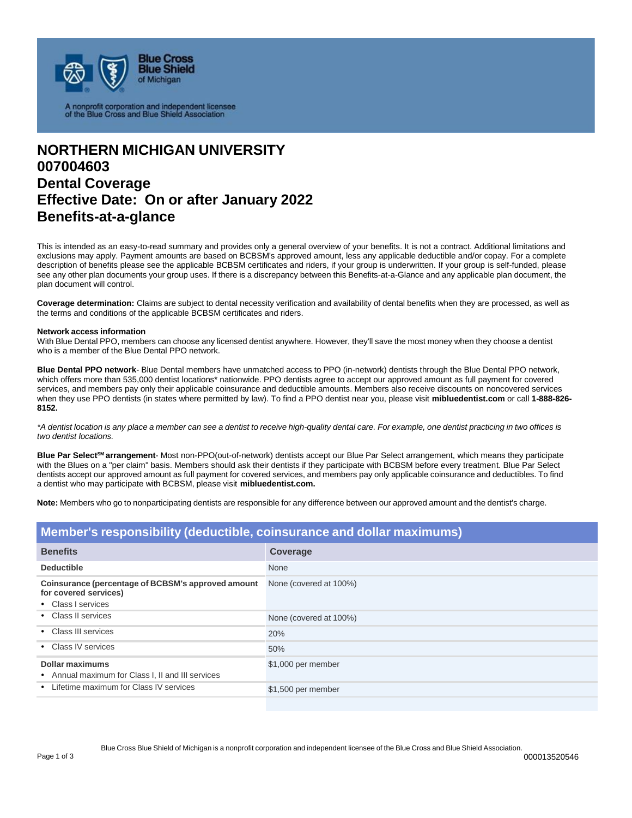

A nonprofit corporation and independent licensee<br>of the Blue Cross and Blue Shield Association

## **NORTHERN MICHIGAN UNIVERSITY 007004603 Dental Coverage Effective Date: On or after January 2022 Benefits-at-a-glance**

This is intended as an easy-to-read summary and provides only a general overview of your benefits. It is not a contract. Additional limitations and exclusions may apply. Payment amounts are based on BCBSM's approved amount, less any applicable deductible and/or copay. For a complete description of benefits please see the applicable BCBSM certificates and riders, if your group is underwritten. If your group is self-funded, please see any other plan documents your group uses. If there is a discrepancy between this Benefits-at-a-Glance and any applicable plan document, the plan document will control.

**Coverage determination:** Claims are subject to dental necessity verification and availability of dental benefits when they are processed, as well as the terms and conditions of the applicable BCBSM certificates and riders.

## **Network access information**

With Blue Dental PPO, members can choose any licensed dentist anywhere. However, they'll save the most money when they choose a dentist who is a member of the Blue Dental PPO network.

**Blue Dental PPO network**- Blue Dental members have unmatched access to PPO (in-network) dentists through the Blue Dental PPO network, which offers more than 535,000 dentist locations\* nationwide. PPO dentists agree to accept our approved amount as full payment for covered services, and members pay only their applicable coinsurance and deductible amounts. Members also receive discounts on noncovered services when they use PPO dentists (in states where permitted by law). To find a PPO dentist near you, please visit **mibluedentist.com** or call **1-888-826- 8152.**

\*A dentist location is any place a member can see a dentist to receive high-quality dental care. For example, one dentist practicing in two offices is *two dentist locations.*

Blue Par Select<sup>SM</sup> arrangement- Most non-PPO(out-of-network) dentists accept our Blue Par Select arrangement, which means they participate with the Blues on a "per claim" basis. Members should ask their dentists if they participate with BCBSM before every treatment. Blue Par Select dentists accept our approved amount as full payment for covered services, and members pay only applicable coinsurance and deductibles. To find a dentist who may participate with BCBSM, please visit **mibluedentist.com.**

**Note:** Members who go to nonparticipating dentists are responsible for any difference between our approved amount and the dentist's charge.

| Member's responsibility (deductible, coinsurance and dollar maximums)                             |                        |  |
|---------------------------------------------------------------------------------------------------|------------------------|--|
| <b>Benefits</b>                                                                                   | Coverage               |  |
| <b>Deductible</b>                                                                                 | None                   |  |
| Coinsurance (percentage of BCBSM's approved amount<br>for covered services)<br>• Class I services | None (covered at 100%) |  |
| • Class II services                                                                               | None (covered at 100%) |  |
| • Class III services                                                                              | 20%                    |  |
| • Class IV services                                                                               | 50%                    |  |
| Dollar maximums<br>• Annual maximum for Class I, II and III services                              | \$1,000 per member     |  |
| Lifetime maximum for Class IV services                                                            | \$1,500 per member     |  |
|                                                                                                   |                        |  |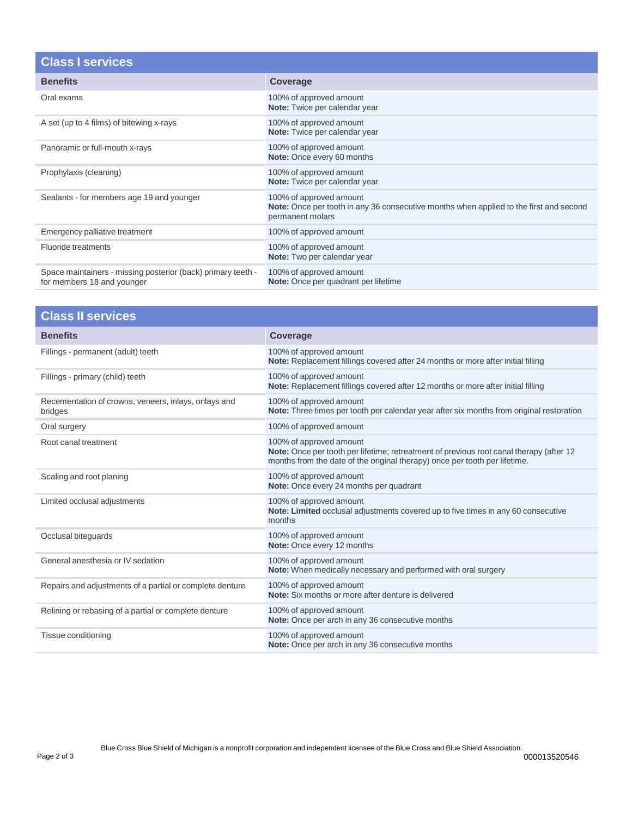| <b>Class I services</b>                                                                    |                                                                                                                                              |
|--------------------------------------------------------------------------------------------|----------------------------------------------------------------------------------------------------------------------------------------------|
| <b>Benefits</b>                                                                            | Coverage                                                                                                                                     |
| Oral exams                                                                                 | 100% of approved amount<br>Note: Twice per calendar year                                                                                     |
| A set (up to 4 films) of bitewing x-rays                                                   | 100% of approved amount<br>Note: Twice per calendar year                                                                                     |
| Panoramic or full-mouth x-rays                                                             | 100% of approved amount<br>Note: Once every 60 months                                                                                        |
| Prophylaxis (cleaning)                                                                     | 100% of approved amount<br>Note: Twice per calendar year                                                                                     |
| Sealants - for members age 19 and younger                                                  | 100% of approved amount<br><b>Note:</b> Once per tooth in any 36 consecutive months when applied to the first and second<br>permanent molars |
| Emergency palliative treatment                                                             | 100% of approved amount                                                                                                                      |
| <b>Fluoride treatments</b>                                                                 | 100% of approved amount<br>Note: Two per calendar year                                                                                       |
| Space maintainers - missing posterior (back) primary teeth -<br>for members 18 and younger | 100% of approved amount<br>Note: Once per quadrant per lifetime                                                                              |

| <b>Class II services</b>                                        |                                                                                                                                                                                                  |  |
|-----------------------------------------------------------------|--------------------------------------------------------------------------------------------------------------------------------------------------------------------------------------------------|--|
| <b>Benefits</b>                                                 | Coverage                                                                                                                                                                                         |  |
| Fillings - permanent (adult) teeth                              | 100% of approved amount<br>Note: Replacement fillings covered after 24 months or more after initial filling                                                                                      |  |
| Fillings - primary (child) teeth                                | 100% of approved amount<br>Note: Replacement fillings covered after 12 months or more after initial filling                                                                                      |  |
| Recementation of crowns, veneers, inlays, onlays and<br>bridges | 100% of approved amount<br>Note: Three times per tooth per calendar year after six months from original restoration                                                                              |  |
| Oral surgery                                                    | 100% of approved amount                                                                                                                                                                          |  |
| Root canal treatment                                            | 100% of approved amount<br>Note: Once per tooth per lifetime; retreatment of previous root canal therapy (after 12<br>months from the date of the original therapy) once per tooth per lifetime. |  |
| Scaling and root planing                                        | 100% of approved amount<br>Note: Once every 24 months per quadrant                                                                                                                               |  |
| Limited occlusal adjustments                                    | 100% of approved amount<br>Note: Limited occlusal adjustments covered up to five times in any 60 consecutive<br>months                                                                           |  |
| Occlusal biteguards                                             | 100% of approved amount<br>Note: Once every 12 months                                                                                                                                            |  |
| General anesthesia or IV sedation                               | 100% of approved amount<br>Note: When medically necessary and performed with oral surgery                                                                                                        |  |
| Repairs and adjustments of a partial or complete denture        | 100% of approved amount<br>Note: Six months or more after denture is delivered                                                                                                                   |  |
| Relining or rebasing of a partial or complete denture           | 100% of approved amount<br>Note: Once per arch in any 36 consecutive months                                                                                                                      |  |
| Tissue conditioning                                             | 100% of approved amount<br>Note: Once per arch in any 36 consecutive months                                                                                                                      |  |